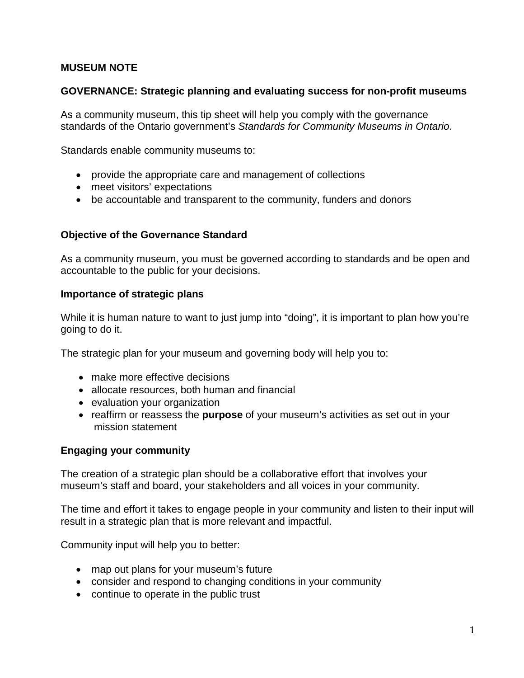# **MUSEUM NOTE**

### **GOVERNANCE: Strategic planning and evaluating success for non-profit museums**

As a community museum, this tip sheet will help you comply with the governance standards of the Ontario government's *Standards for Community Museums in Ontario*.

Standards enable community museums to:

- provide the appropriate care and management of collections
- meet visitors' expectations
- be accountable and transparent to the community, funders and donors

#### **Objective of the Governance Standard**

As a community museum, you must be governed according to standards and be open and accountable to the public for your decisions.

#### **Importance of strategic plans**

While it is human nature to want to just jump into "doing", it is important to plan how you're going to do it.

The strategic plan for your museum and governing body will help you to:

- make more effective decisions
- allocate resources, both human and financial
- evaluation your organization
- reaffirm or reassess the **purpose** of your museum's activities as set out in your mission statement

#### **Engaging your community**

The creation of a strategic plan should be a collaborative effort that involves your museum's staff and board, your stakeholders and all voices in your community.

The time and effort it takes to engage people in your community and listen to their input will result in a strategic plan that is more relevant and impactful.

Community input will help you to better:

- map out plans for your museum's future
- consider and respond to changing conditions in your community
- continue to operate in the public trust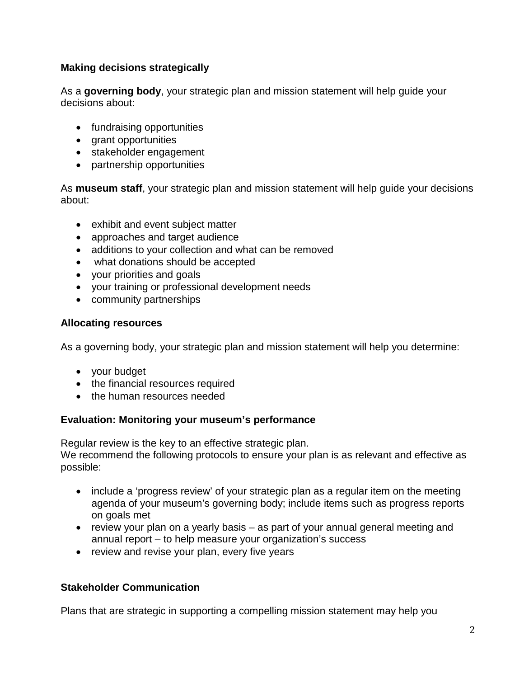# **Making decisions strategically**

As a **governing body**, your strategic plan and mission statement will help guide your decisions about:

- fundraising opportunities
- grant opportunities
- stakeholder engagement
- partnership opportunities

As **museum staff**, your strategic plan and mission statement will help guide your decisions about:

- exhibit and event subject matter
- approaches and target audience
- additions to your collection and what can be removed
- what donations should be accepted
- your priorities and goals
- your training or professional development needs
- community partnerships

## **Allocating resources**

As a governing body, your strategic plan and mission statement will help you determine:

- your budget
- the financial resources required
- the human resources needed

# **Evaluation: Monitoring your museum's performance**

Regular review is the key to an effective strategic plan. We recommend the following protocols to ensure your plan is as relevant and effective as possible:

- include a 'progress review' of your strategic plan as a regular item on the meeting agenda of your museum's governing body; include items such as progress reports on goals met
- review your plan on a yearly basis as part of your annual general meeting and annual report – to help measure your organization's success
- review and revise your plan, every five years

# **Stakeholder Communication**

Plans that are strategic in supporting a compelling mission statement may help you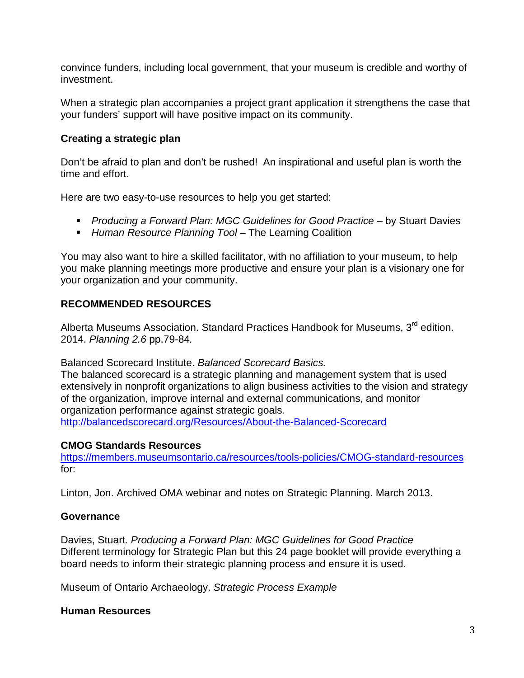convince funders, including local government, that your museum is credible and worthy of investment.

When a strategic plan accompanies a project grant application it strengthens the case that your funders' support will have positive impact on its community.

## **Creating a strategic plan**

Don't be afraid to plan and don't be rushed!An inspirational and useful plan is worth the time and effort.

Here are two easy-to-use resources to help you get started:

- **Producing a Forward Plan: MGC Guidelines for Good Practice by Stuart Davies**
- **Human Resource Planning Tool The Learning Coalition**

You may also want to hire a skilled facilitator, with no affiliation to your museum, to help you make planning meetings more productive and ensure your plan is a visionary one for your organization and your community.

## **RECOMMENDED RESOURCES**

Alberta Museums Association. Standard Practices Handbook for Museums, 3<sup>rd</sup> edition. 2014. *Planning 2.6* pp.79-84*.*

Balanced Scorecard Institute. *Balanced Scorecard Basics.*

The balanced scorecard is a [strategic planning and management system t](http://balancedscorecard.org/BSCResources/StrategicPlanningBasics/tabid/459/Default.aspx)hat is used extensively in nonprofit organizations to align business activities to the vision and strategy of the organization, improve internal and external communications, and monitor organization performance against strategic goals.

<http://balancedscorecard.org/Resources/About-the-Balanced-Scorecard>

## **CMOG Standards Resources**

<https://members.museumsontario.ca/resources/tools-policies/CMOG-standard-resources> for:

Linton, Jon. Archived OMA webinar and notes on Strategic Planning. March 2013.

## **Governance**

Davies, Stuart*. Producing a Forward Plan: MGC Guidelines for Good Practice* Different terminology for Strategic Plan but this 24 page booklet will provide everything a board needs to inform their strategic planning process and ensure it is used.

Museum of Ontario Archaeology. *Strategic Process Example*

## **Human Resources**